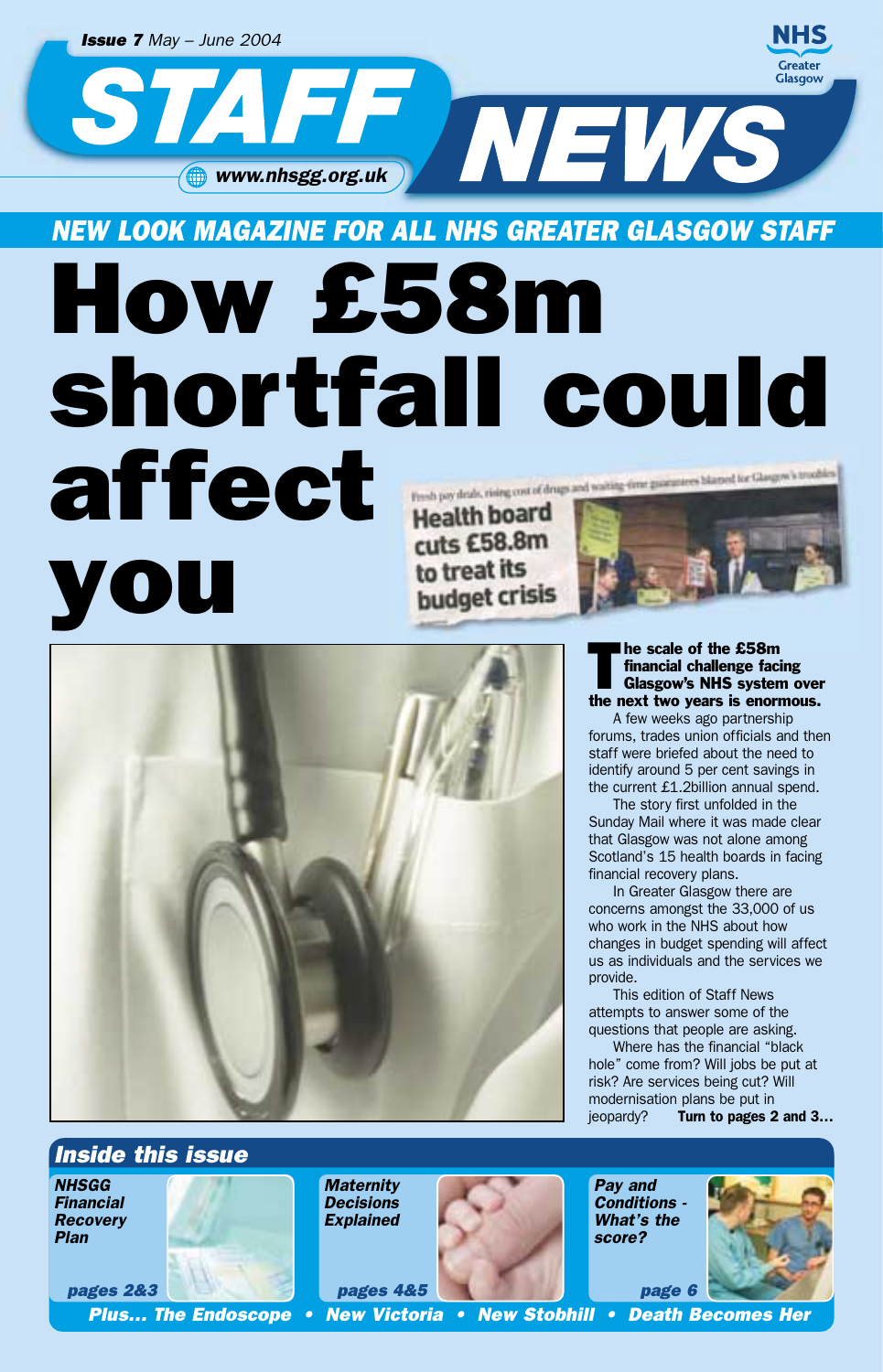

affect Fresh pay deals, rising cost of drugs and waiting-form guarantees blamed for Glasgow's troubles **Health board** cuts £58.8m to treat its OU budget crisis



*Plan*

#### The scale of the £58m<br>
financial challenge facing<br>
Glasgow's NHS system over<br>
the next two vears is enormous. financial challenge facing the next two years is enormous.

A few weeks ago partnership forums, trades union officials and then staff were briefed about the need to identify around 5 per cent savings in the current £1.2billion annual spend.

The story first unfolded in the Sunday Mail where it was made clear that Glasgow was not alone among Scotland's 15 health boards in facing financial recovery plans.

In Greater Glasgow there are concerns amongst the 33,000 of us who work in the NHS about how changes in budget spending will affect us as individuals and the services we provide.

This edition of Staff News attempts to answer some of the questions that people are asking.

Where has the financial "black hole" come from? Will jobs be put at risk? Are services being cut? Will modernisation plans be put in jeopardy? *Turn to pages 2 and 3…*

*Inside this issue NHSGG Financial Recovery pages 2&3 Maternity Decisions Explained pages 4&5 Pay and Conditions - What's the score? page 6*

*Plus… The Endoscope • New Victoria • New Stobhill • Death Becomes Her*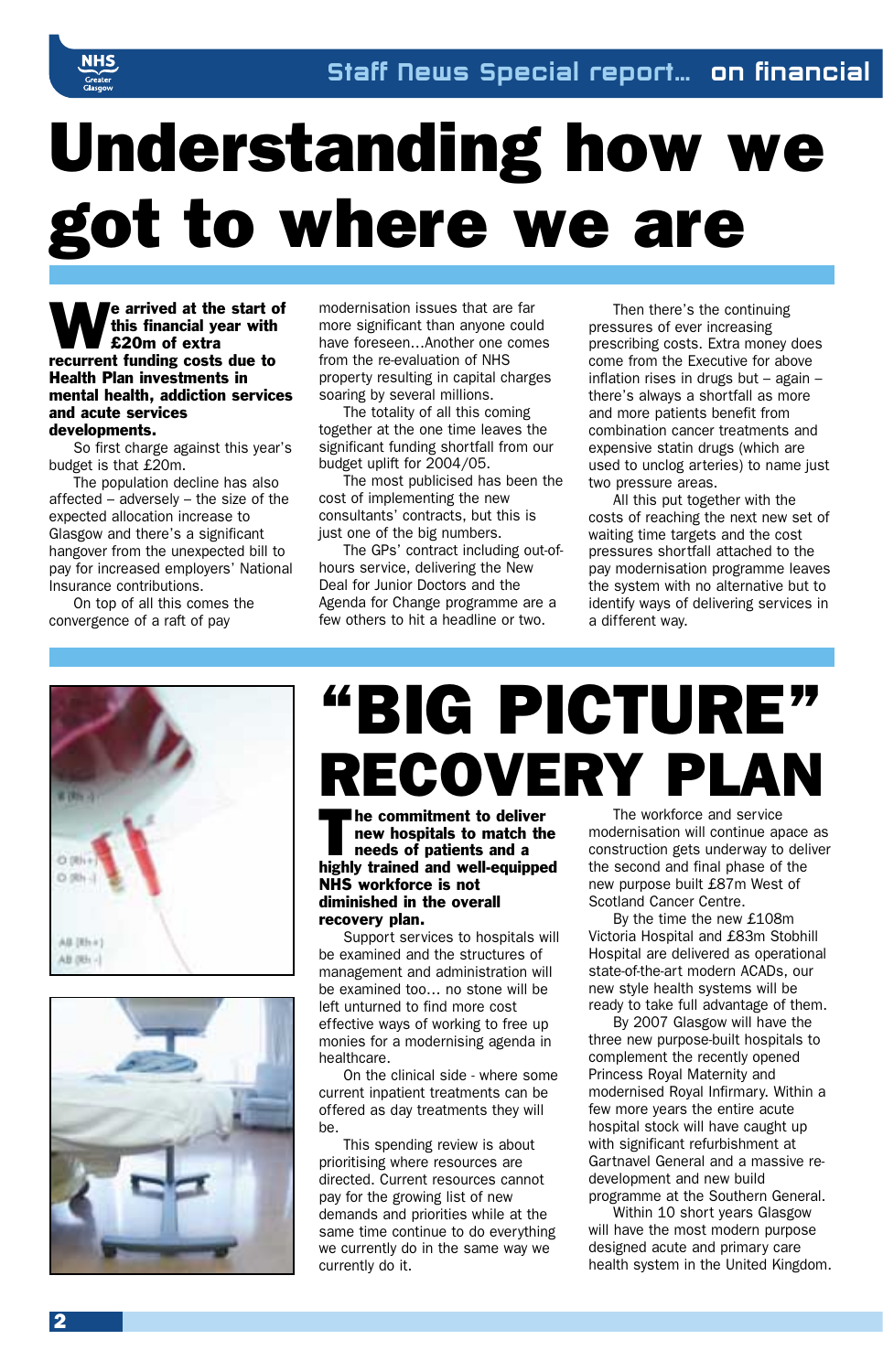# Understanding how we got to where we are

We arrived at the start of<br>this financial year with<br>recurrent funding costs due to this financial year with £20m of extra Health Plan investments in mental health, addiction services and acute services developments.

So first charge against this year's budget is that £20m.

The population decline has also affected – adversely – the size of the expected allocation increase to Glasgow and there's a significant hangover from the unexpected bill to pay for increased employers' National Insurance contributions.

On top of all this comes the convergence of a raft of pay

modernisation issues that are far more significant than anyone could have foreseen…Another one comes from the re-evaluation of NHS property resulting in capital charges soaring by several millions.

The totality of all this coming together at the one time leaves the significant funding shortfall from our budget uplift for 2004/05.

The most publicised has been the cost of implementing the new consultants' contracts, but this is just one of the big numbers.

The GPs' contract including out-ofhours service, delivering the New Deal for Junior Doctors and the Agenda for Change programme are a few others to hit a headline or two.

Then there's the continuing pressures of ever increasing prescribing costs. Extra money does come from the Executive for above inflation rises in drugs but – again – there's always a shortfall as more and more patients benefit from combination cancer treatments and expensive statin drugs (which are used to unclog arteries) to name just two pressure areas.

All this put together with the costs of reaching the next new set of waiting time targets and the cost pressures shortfall attached to the pay modernisation programme leaves the system with no alternative but to identify ways of delivering services in a different way.





# "BIG PICTURE" RECOVERY PLAN

The commitment to deliver<br>
new hospitals to match the<br>
needs of patients and a<br>
highly trained and well-equipped new hospitals to match the needs of patients and a NHS workforce is not diminished in the overall recovery plan.

Support services to hospitals will be examined and the structures of management and administration will be examined too… no stone will be left unturned to find more cost effective ways of working to free up monies for a modernising agenda in healthcare.

On the clinical side - where some current inpatient treatments can be offered as day treatments they will be.

This spending review is about prioritising where resources are directed. Current resources cannot pay for the growing list of new demands and priorities while at the same time continue to do everything we currently do in the same way we currently do it.

The workforce and service modernisation will continue apace as construction gets underway to deliver the second and final phase of the new purpose built £87m West of Scotland Cancer Centre.

By the time the new £108m Victoria Hospital and £83m Stobhill Hospital are delivered as operational state-of-the-art modern ACADs, our new style health systems will be ready to take full advantage of them.

By 2007 Glasgow will have the three new purpose-built hospitals to complement the recently opened Princess Royal Maternity and modernised Royal Infirmary. Within a few more years the entire acute hospital stock will have caught up with significant refurbishment at Gartnavel General and a massive redevelopment and new build programme at the Southern General.

Within 10 short years Glasgow will have the most modern purpose designed acute and primary care health system in the United Kingdom.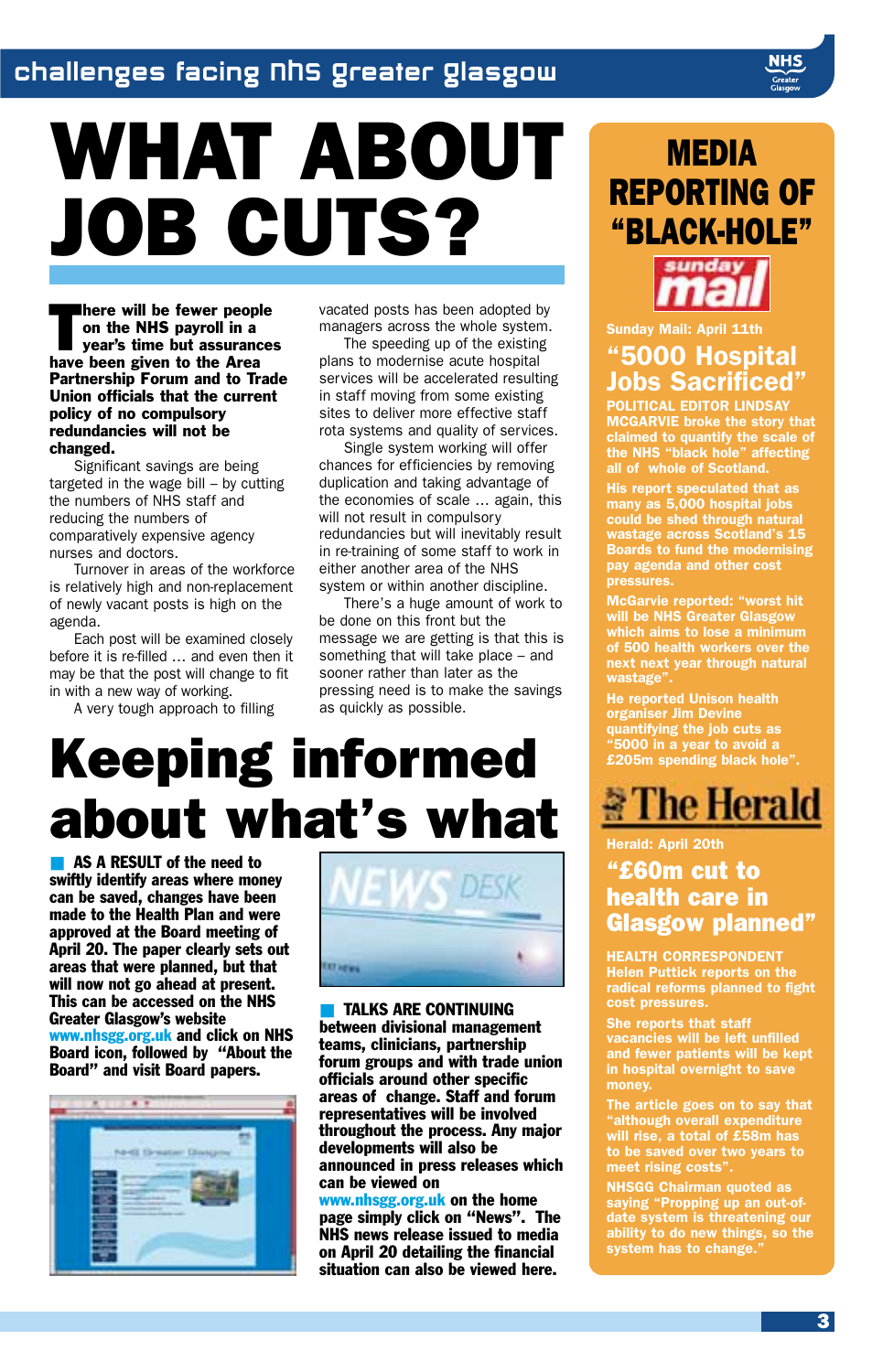# WHAT ABOUT JOB CUTS?

There will be fewer peop<br>on the NHS payroll in a<br>year's time but assurance<br>have been given to the Area here will be fewer people on the NHS payroll in a year's time but assurances Partnership Forum and to Trade Union officials that the current policy of no compulsory redundancies will not be changed.

Significant savings are being targeted in the wage bill – by cutting the numbers of NHS staff and reducing the numbers of comparatively expensive agency nurses and doctors.

Turnover in areas of the workforce is relatively high and non-replacement of newly vacant posts is high on the agenda.

Each post will be examined closely before it is re-filled … and even then it may be that the post will change to fit in with a new way of working.

A very tough approach to filling

vacated posts has been adopted by managers across the whole system.

The speeding up of the existing plans to modernise acute hospital services will be accelerated resulting in staff moving from some existing sites to deliver more effective staff rota systems and quality of services.

Single system working will offer chances for efficiencies by removing duplication and taking advantage of the economies of scale … again, this will not result in compulsory redundancies but will inevitably result in re-training of some staff to work in either another area of the NHS system or within another discipline.

There's a huge amount of work to be done on this front but the message we are getting is that this is something that will take place – and sooner rather than later as the pressing need is to make the savings as quickly as possible.

## Keeping informed about what's what

■ AS A RESULT of the need to swiftly identify areas where money can be saved, changes have been made to the Health Plan and were approved at the Board meeting of April 20. The paper clearly sets out areas that were planned, but that will now not go ahead at present. This can be accessed on the NHS Greater Glasgow's website www.nhsgg.org.uk and click on NHS Board icon, followed by "About the Board" and visit Board papers.





**■ TALKS ARE CONTINUING** between divisional management teams, clinicians, partnership forum groups and with trade union officials around other specific areas of change. Staff and forum representatives will be involved throughout the process. Any major developments will also be announced in press releases which can be viewed on

www.nhsgg.org.uk on the home page simply click on "News". The NHS news release issued to media on April 20 detailing the financial situation can also be viewed here.

### **MEDIA** REPORTING OF "BLACK-HOLE"



#### *Sunday Mail: April 11th "5000 Hospital Jobs Sacrificed"*

*POLITICAL EDITOR LINDSAY MCGARVIE broke the story that claimed to quantify the scale of the NHS "black hole" affecting all of whole of Scotland.*

*His report speculated that as many as 5,000 hospital jobs could be shed through natural wastage across Scotland's 15 Boards to fund the modernising pay agenda and other cost pressures.*

*McGarvie reported: "worst hit will be NHS Greater Glasgow which aims to lose a minimum of 500 health workers over the next next year through natural wastage".*

*He reported Unison health organiser Jim Devine quantifying the job cuts as "5000 in a year to avoid a £205m spending black hole".*



#### *Herald: April 20th*

#### "£60m cut to health care in Glasgow planned"

*HEALTH CORRESPONDENT Helen Puttick reports on the radical reforms planned to fight cost pressures.*

*She reports that staff vacancies will be left unfilled and fewer patients will be kept in hospital overnight to save money.*

*The article goes on to say that "although overall expenditure will rise, a total of £58m has to be saved over two years to meet rising costs".* 

*NHSGG Chairman quoted as saying "Propping up an out-ofdate system is threatening our ability to do new things, so the system has to change."*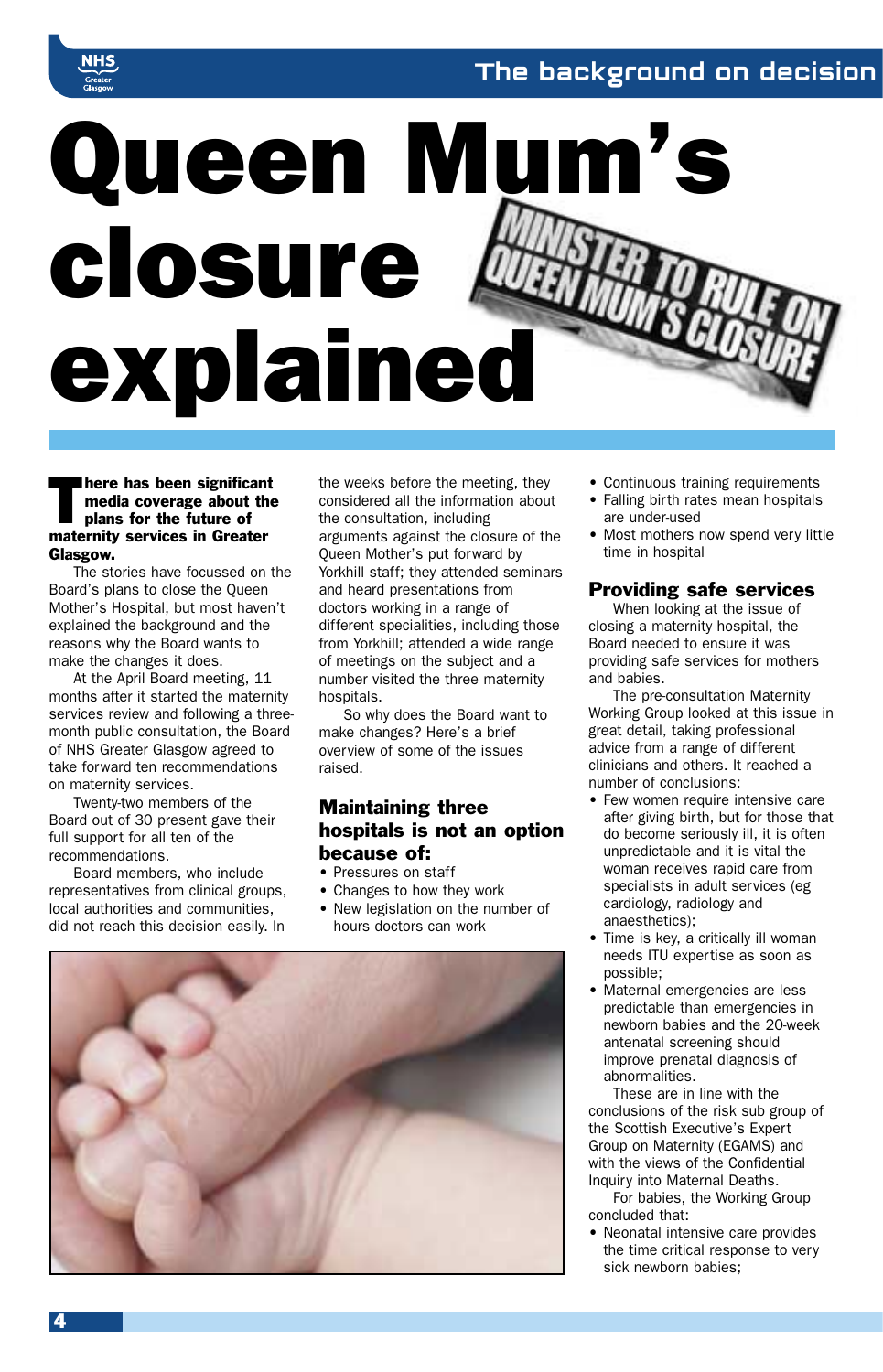#### The background on decision



Ihere has been significant media coverage about the plans for the future of maternity services in Greater Glasgow.

The stories have focussed on the Board's plans to close the Queen Mother's Hospital, but most haven't explained the background and the reasons why the Board wants to make the changes it does.

At the April Board meeting, 11 months after it started the maternity services review and following a threemonth public consultation, the Board of NHS Greater Glasgow agreed to take forward ten recommendations on maternity services.

Twenty-two members of the Board out of 30 present gave their full support for all ten of the recommendations.

Board members, who include representatives from clinical groups, local authorities and communities, did not reach this decision easily. In

the weeks before the meeting, they considered all the information about the consultation, including arguments against the closure of the Queen Mother's put forward by Yorkhill staff; they attended seminars and heard presentations from doctors working in a range of different specialities, including those from Yorkhill; attended a wide range of meetings on the subject and a number visited the three maternity hospitals.

So why does the Board want to make changes? Here's a brief overview of some of the issues raised.

#### Maintaining three hospitals is not an option because of:

- Pressures on staff
- Changes to how they work
- New legislation on the number of hours doctors can work



- Continuous training requirements
- Falling birth rates mean hospitals are under-used
- Most mothers now spend very little time in hospital

#### Providing safe services

When looking at the issue of closing a maternity hospital, the Board needed to ensure it was providing safe services for mothers and babies.

The pre-consultation Maternity Working Group looked at this issue in great detail, taking professional advice from a range of different clinicians and others. It reached a number of conclusions:

- Few women require intensive care after giving birth, but for those that do become seriously ill, it is often unpredictable and it is vital the woman receives rapid care from specialists in adult services (eg cardiology, radiology and anaesthetics);
- Time is key, a critically ill woman needs ITU expertise as soon as possible;
- Maternal emergencies are less predictable than emergencies in newborn babies and the 20-week antenatal screening should improve prenatal diagnosis of abnormalities.

These are in line with the conclusions of the risk sub group of the Scottish Executive's Expert Group on Maternity (EGAMS) and with the views of the Confidential Inquiry into Maternal Deaths.

For babies, the Working Group concluded that:

• Neonatal intensive care provides the time critical response to very sick newborn babies;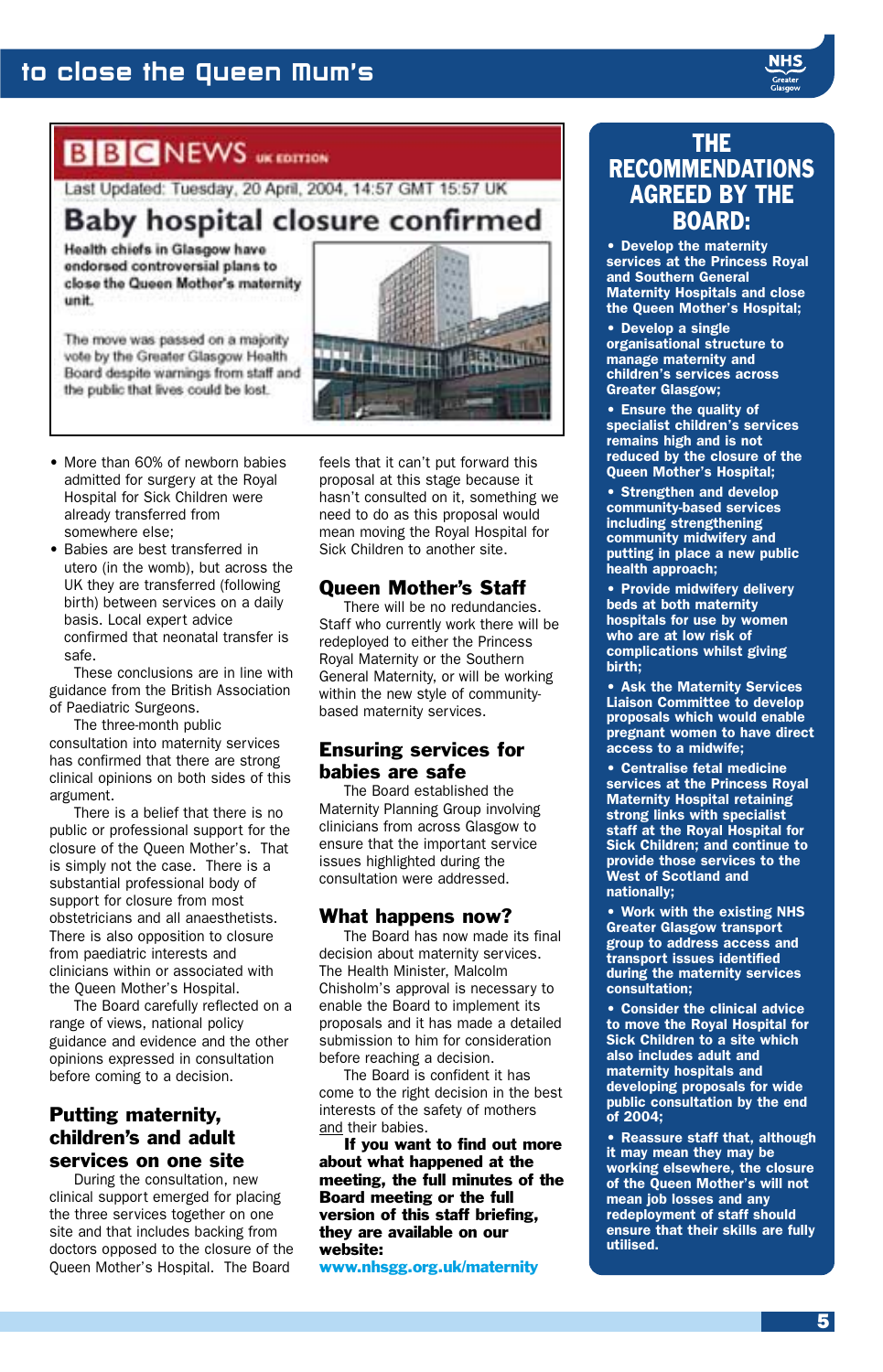#### to close the Queen Mum's

#### **BBCNEWS** *w* correct

Last Updated: Tuesday, 20 April, 2004, 14:57 GMT 15:57 UK

**Baby hospital closure confirmed** 

Health chiefs in Glasgow have endorsed controversial plans to close the Queen Mother's maternity unit.

The move was passed on a majority vote by the Greater Glasgow Health Board despite warnings from staff and the public that lives could be lost.



- More than 60% of newborn babies admitted for surgery at the Royal Hospital for Sick Children were already transferred from somewhere else;
- Babies are best transferred in utero (in the womb), but across the UK they are transferred (following birth) between services on a daily basis. Local expert advice confirmed that neonatal transfer is safe.

These conclusions are in line with guidance from the British Association of Paediatric Surgeons.

The three-month public consultation into maternity services has confirmed that there are strong clinical opinions on both sides of this argument.

There is a belief that there is no public or professional support for the closure of the Queen Mother's. That is simply not the case. There is a substantial professional body of support for closure from most obstetricians and all anaesthetists. There is also opposition to closure from paediatric interests and clinicians within or associated with the Queen Mother's Hospital.

The Board carefully reflected on a range of views, national policy guidance and evidence and the other opinions expressed in consultation before coming to a decision.

#### Putting maternity, children's and adult services on one site

During the consultation, new clinical support emerged for placing the three services together on one site and that includes backing from doctors opposed to the closure of the Queen Mother's Hospital. The Board

feels that it can't put forward this proposal at this stage because it hasn't consulted on it, something we need to do as this proposal would mean moving the Royal Hospital for Sick Children to another site.

#### Queen Mother's Staff

There will be no redundancies. Staff who currently work there will be redeployed to either the Princess Royal Maternity or the Southern General Maternity, or will be working within the new style of communitybased maternity services.

#### Ensuring services for babies are safe

The Board established the Maternity Planning Group involving clinicians from across Glasgow to ensure that the important service issues highlighted during the consultation were addressed.

#### What happens now?

The Board has now made its final decision about maternity services. The Health Minister, Malcolm Chisholm's approval is necessary to enable the Board to implement its proposals and it has made a detailed submission to him for consideration before reaching a decision.

The Board is confident it has come to the right decision in the best interests of the safety of mothers and their babies.

If you want to find out more about what happened at the meeting, the full minutes of the Board meeting or the full version of this staff briefing, they are available on our website:

www.nhsgg.org.uk/maternity

#### THE RECOMMENDATIONS AGREED BY THE BOARD:

*• Develop the maternity services at the Princess Royal and Southern General Maternity Hospitals and close the Queen Mother's Hospital;*

*• Develop a single organisational structure to manage maternity and children's services across Greater Glasgow;*

*• Ensure the quality of specialist children's services remains high and is not reduced by the closure of the Queen Mother's Hospital;*

*• Strengthen and develop community-based services including strengthening community midwifery and putting in place a new public health approach;*

*• Provide midwifery delivery beds at both maternity hospitals for use by women who are at low risk of complications whilst giving birth;*

*• Ask the Maternity Services Liaison Committee to develop proposals which would enable pregnant women to have direct access to a midwife;*

*• Centralise fetal medicine services at the Princess Royal Maternity Hospital retaining strong links with specialist staff at the Royal Hospital for Sick Children; and continue to provide those services to the West of Scotland and nationally;*

*• Work with the existing NHS Greater Glasgow transport group to address access and transport issues identified during the maternity services consultation;*

*• Consider the clinical advice to move the Royal Hospital for Sick Children to a site which also includes adult and maternity hospitals and developing proposals for wide public consultation by the end of 2004;*

*• Reassure staff that, although it may mean they may be working elsewhere, the closure of the Queen Mother's will not mean job losses and any redeployment of staff should ensure that their skills are fully utilised.*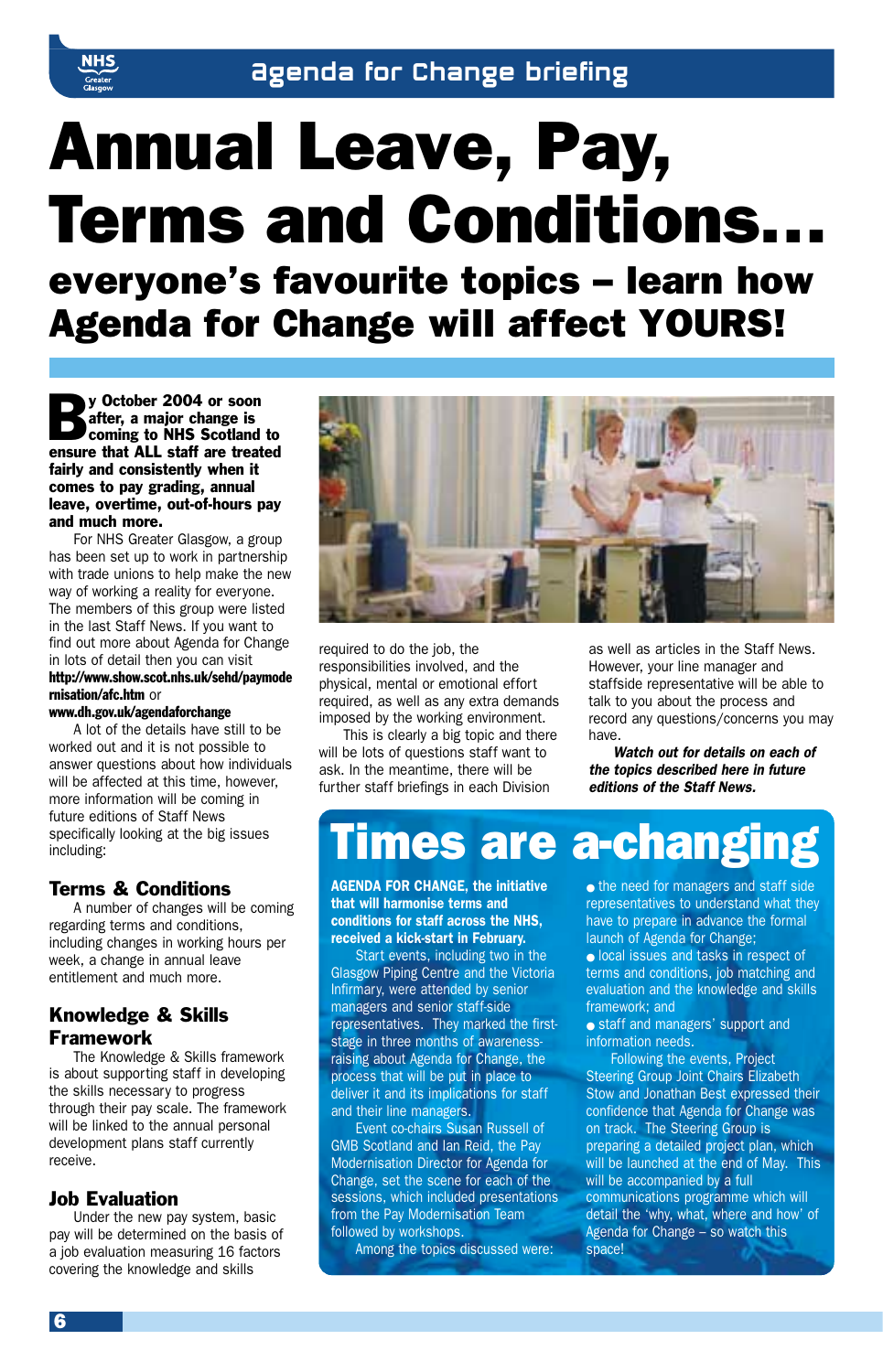

# Annual Leave, Pay, Terms and Conditions…

everyone's favourite topics – learn how Agenda for Change will affect YOURS!

y October 2004 or soon<br>after, a major change is<br>coming to NHS Scotland to<br>ensure that ALL staff are treated after, a major change is ensure that ALL staff are treated fairly and consistently when it comes to pay grading, annual leave, overtime, out-of-hours pay and much more.

For NHS Greater Glasgow, a group has been set up to work in partnership with trade unions to help make the new way of working a reality for everyone. The members of this group were listed in the last Staff News. If you want to find out more about Agenda for Change in lots of detail then you can visit http://www.show.scot.nhs.uk/sehd/paymode rnisation/afc.htm or

#### www.dh.gov.uk/agendaforchange

A lot of the details have still to be worked out and it is not possible to answer questions about how individuals will be affected at this time, however, more information will be coming in future editions of Staff News specifically looking at the big issues including:

#### Terms & Conditions

A number of changes will be coming regarding terms and conditions, including changes in working hours per week, a change in annual leave entitlement and much more.

#### Knowledge & Skills Framework

The Knowledge & Skills framework is about supporting staff in developing the skills necessary to progress through their pay scale. The framework will be linked to the annual personal development plans staff currently receive.

#### Job Evaluation

Under the new pay system, basic pay will be determined on the basis of a job evaluation measuring 16 factors covering the knowledge and skills



required to do the job, the responsibilities involved, and the physical, mental or emotional effort required, as well as any extra demands imposed by the working environment.

This is clearly a big topic and there will be lots of questions staff want to ask. In the meantime, there will be further staff briefings in each Division

as well as articles in the Staff News. However, your line manager and staffside representative will be able to talk to you about the process and record any questions/concerns you may have.

*Watch out for details on each of the topics described here in future editions of the Staff News.*

### **Times are a-changing**

*AGENDA FOR CHANGE, the initiative that will harmonise terms and conditions for staff across the NHS, received a kick-start in February.*

Start events, including two in the Glasgow Piping Centre and the Victoria Infirmary, were attended by senior managers and senior staff-side representatives. They marked the firststage in three months of awarenessraising about Agenda for Change, the process that will be put in place to deliver it and its implications for staff and their line managers.

Event co-chairs Susan Russell of GMB Scotland and Ian Reid, the Pay Modernisation Director for Agenda for Change, set the scene for each of the sessions, which included presentations from the Pay Modernisation Team followed by workshops.

Among the topics discussed were:

• the need for managers and staff side representatives to understand what they have to prepare in advance the formal launch of Agenda for Change;

● local issues and tasks in respect of terms and conditions, job matching and evaluation and the knowledge and skills framework; and

● staff and managers' support and information needs.

Following the events, Project Steering Group Joint Chairs Elizabeth Stow and Jonathan Best expressed their confidence that Agenda for Change was on track. The Steering Group is preparing a detailed project plan, which will be launched at the end of May. This will be accompanied by a full communications programme which will detail the 'why, what, where and how' of Agenda for Change – so watch this space!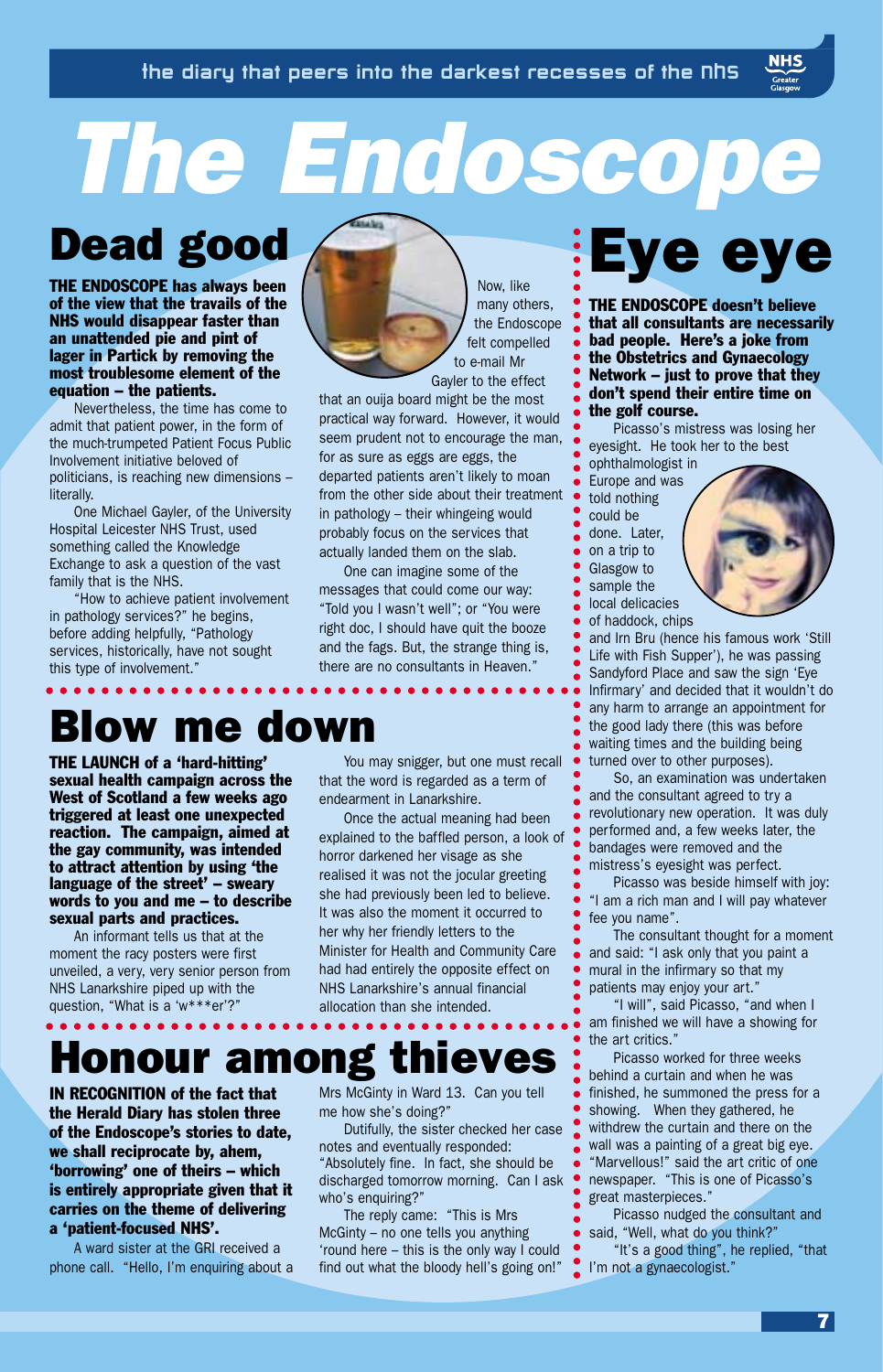# *The Endoscope*

### Dead good

THE ENDOSCOPE has always been of the view that the travails of the NHS would disappear faster than an unattended pie and pint of lager in Partick by removing the most troublesome element of the equation – the patients.

Nevertheless, the time has come to admit that patient power, in the form of the much-trumpeted Patient Focus Public Involvement initiative beloved of politicians, is reaching new dimensions – literally.

One Michael Gayler, of the University Hospital Leicester NHS Trust, used something called the Knowledge Exchange to ask a question of the vast family that is the NHS.

"How to achieve patient involvement in pathology services?" he begins, before adding helpfully, "Pathology services, historically, have not sought this type of involvement."

Now, like many others, the Endoscope felt compelled to e-mail Mr Gayler to the effect

that an ouija board might be the most practical way forward. However, it would seem prudent not to encourage the man, for as sure as eggs are eggs, the departed patients aren't likely to moan from the other side about their treatment in pathology – their whingeing would probably focus on the services that actually landed them on the slab.

One can imagine some of the messages that could come our way: "Told you I wasn't well"; or "You were right doc, I should have quit the booze and the fags. But, the strange thing is, there are no consultants in Heaven."

### Blow me down

THE LAUNCH of a 'hard-hitting' sexual health campaign across the West of Scotland a few weeks ago triggered at least one unexpected reaction. The campaign, aimed at the gay community, was intended to attract attention by using 'the language of the street' – sweary words to you and me – to describe sexual parts and practices.

An informant tells us that at the moment the racy posters were first unveiled, a very, very senior person from NHS Lanarkshire piped up with the question, "What is a 'w\*\*\*er'?"

You may snigger, but one must recall that the word is regarded as a term of endearment in Lanarkshire.

Once the actual meaning had been explained to the baffled person, a look of horror darkened her visage as she realised it was not the jocular greeting she had previously been led to believe. It was also the moment it occurred to her why her friendly letters to the Minister for Health and Community Care had had entirely the opposite effect on NHS Lanarkshire's annual financial allocation than she intended.

## Honour among thieves

IN RECOGNITION of the fact that the Herald Diary has stolen three of the Endoscope's stories to date, we shall reciprocate by, ahem, 'borrowing' one of theirs – which is entirely appropriate given that it carries on the theme of delivering a 'patient-focused NHS'.

A ward sister at the GRI received a phone call. "Hello, I'm enquiring about a Mrs McGinty in Ward 13. Can you tell me how she's doing?"

Dutifully, the sister checked her case notes and eventually responded: "Absolutely fine. In fact, she should be discharged tomorrow morning. Can I ask who's enquiring?

The reply came: "This is Mrs McGinty – no one tells you anything 'round here – this is the only way I could find out what the bloody hell's going on!"

# Eye eye

THE ENDOSCOPE doesn't believe that all consultants are necessarily bad people. Here's a joke from the Obstetrics and Gynaecology Network – just to prove that they don't spend their entire time on the golf course.

Picasso's mistress was losing her eyesight. He took her to the best ophthalmologist in

Europe and was told nothing could be done. Later, on a trip to Glasgow to sample the local delicacies of haddock, chips



and Irn Bru (hence his famous work 'Still Life with Fish Supper'), he was passing Sandyford Place and saw the sign 'Eye Infirmary' and decided that it wouldn't do any harm to arrange an appointment for the good lady there (this was before waiting times and the building being turned over to other purposes).

So, an examination was undertaken and the consultant agreed to try a revolutionary new operation. It was duly performed and, a few weeks later, the bandages were removed and the mistress's eyesight was perfect.

Picasso was beside himself with joy: "I am a rich man and I will pay whatever fee you name".

The consultant thought for a moment and said: "I ask only that you paint a mural in the infirmary so that my patients may enjoy your art."

"I will", said Picasso, "and when I am finished we will have a showing for the art critics."

Picasso worked for three weeks behind a curtain and when he was finished, he summoned the press for a showing. When they gathered, he withdrew the curtain and there on the wall was a painting of a great big eye. "Marvellous!" said the art critic of one newspaper. "This is one of Picasso's great masterpieces."

Picasso nudged the consultant and said, "Well, what do you think?"

"It's a good thing", he replied, "that I'm not a gynaecologist."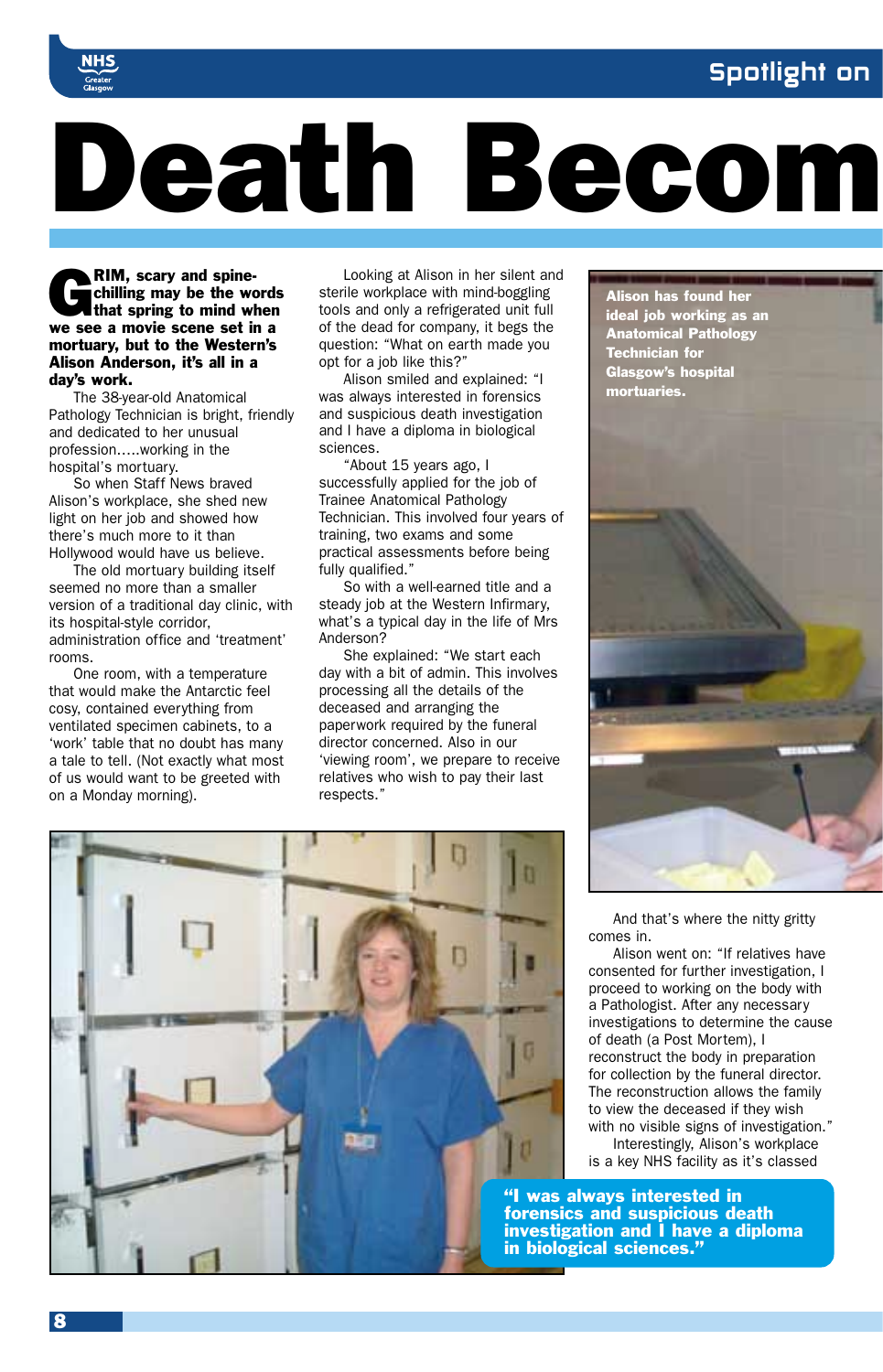#### Spotlight on



# Death Becom

**RIM, scary and spine**chilling may be the words that spring to mind when we see a movie scene set in a mortuary, but to the Western's Alison Anderson, it's all in a day's work.

The 38-year-old Anatomical Pathology Technician is bright, friendly and dedicated to her unusual profession…..working in the hospital's mortuary.

So when Staff News braved Alison's workplace, she shed new light on her job and showed how there's much more to it than Hollywood would have us believe.

The old mortuary building itself seemed no more than a smaller version of a traditional day clinic, with its hospital-style corridor, administration office and 'treatment' rooms.

One room, with a temperature that would make the Antarctic feel cosy, contained everything from ventilated specimen cabinets, to a 'work' table that no doubt has many a tale to tell. (Not exactly what most of us would want to be greeted with on a Monday morning).

Looking at Alison in her silent and sterile workplace with mind-boggling tools and only a refrigerated unit full of the dead for company, it begs the question: "What on earth made you opt for a job like this?"

Alison smiled and explained: "I was always interested in forensics and suspicious death investigation and I have a diploma in biological sciences.

"About 15 years ago, I successfully applied for the job of Trainee Anatomical Pathology Technician. This involved four years of training, two exams and some practical assessments before being fully qualified."

So with a well-earned title and a steady job at the Western Infirmary. what's a typical day in the life of Mrs Anderson?

She explained: "We start each day with a bit of admin. This involves processing all the details of the deceased and arranging the paperwork required by the funeral director concerned. Also in our 'viewing room', we prepare to receive relatives who wish to pay their last respects."



Alison has found her ideal job working as an Anatomical Pathology Technician for Glasgow's hospital mortuaries.

And that's where the nitty gritty comes in.

Alison went on: "If relatives have consented for further investigation, I proceed to working on the body with a Pathologist. After any necessary investigations to determine the cause of death (a Post Mortem), I reconstruct the body in preparation for collection by the funeral director. The reconstruction allows the family to view the deceased if they wish with no visible signs of investigation." Interestingly, Alison's workplace is a key NHS facility as it's classed

"I was always interested in forensics and suspicious death investigation and I have a diploma in biological sciences."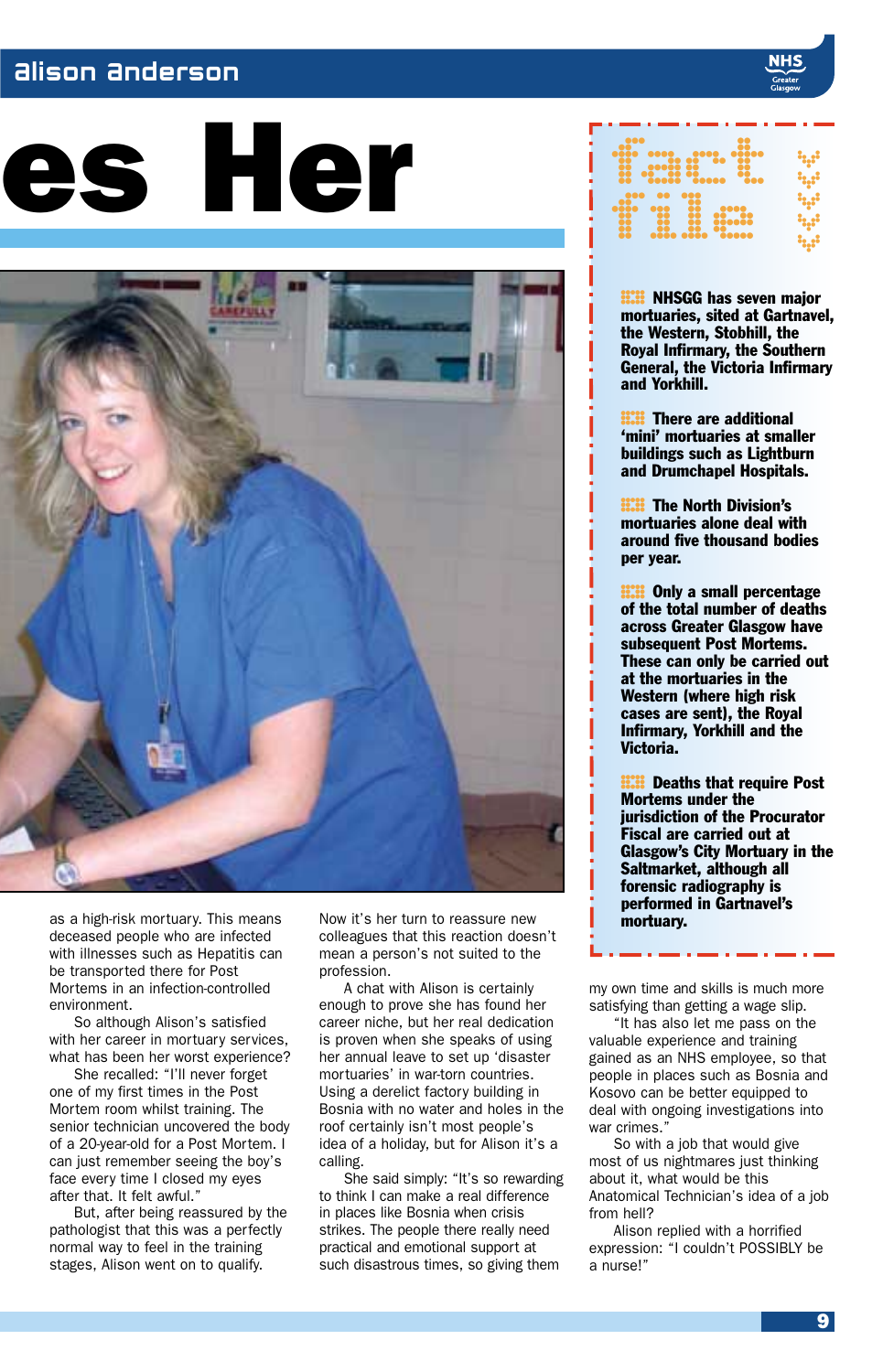#### Alison Anderson

# es Her



as a high-risk mortuary. This means deceased people who are infected with illnesses such as Hepatitis can be transported there for Post Mortems in an infection-controlled environment.

So although Alison's satisfied with her career in mortuary services. what has been her worst experience?

She recalled: "I'll never forget one of my first times in the Post Mortem room whilst training. The senior technician uncovered the body of a 20-year-old for a Post Mortem. I can just remember seeing the boy's face every time I closed my eyes after that. It felt awful."

But, after being reassured by the pathologist that this was a perfectly normal way to feel in the training stages, Alison went on to qualify.

Now it's her turn to reassure new colleagues that this reaction doesn't mean a person's not suited to the profession.

A chat with Alison is certainly enough to prove she has found her career niche, but her real dedication is proven when she speaks of using her annual leave to set up 'disaster mortuaries' in war-torn countries. Using a derelict factory building in Bosnia with no water and holes in the roof certainly isn't most people's idea of a holiday, but for Alison it's a calling.

She said simply: "It's so rewarding to think I can make a real difference in places like Bosnia when crisis strikes. The people there really need practical and emotional support at such disastrous times, so giving them



**H.W.** NHSGG has seven major<br>mortuaries, sited at Gartnave<br>the Western, Stobhill, the mortuaries, sited at Gartnavel, the Western, Stobhill, the Royal Infirmary, the Southern General, the Victoria Infirmary and Yorkhill.

**HII** There are additional<br>"mini" mortuaries at smaller<br>buildings such as Lightburn 'mini' mortuaries at smaller and Drumchapel Hospitals.

**HII:** The North Division's<br>mortuaries alone deal with<br>around five thousand bodies mortuaries alone deal with per year.

**ECOMBY A small percentage of the total number of death:**<br>across Greater Glasgow have of the total number of deaths across Greater Glasgow have subsequent Post Mortems. These can only be carried out at the mortuaries in the Western (where high risk cases are sent), the Royal Infirmary, Yorkhill and the Victoria.

**H.W.** Deaths that require Post<br>Mortems under the<br>jurisdiction of the Procurator Mortems under the Fiscal are carried out at Glasgow's City Mortuary in the Saltmarket, although all forensic radiography is performed in Gartnavel's

. . . .

my own time and skills is much more satisfying than getting a wage slip.

"It has also let me pass on the valuable experience and training gained as an NHS employee, so that people in places such as Bosnia and Kosovo can be better equipped to deal with ongoing investigations into war crimes

So with a job that would give most of us nightmares just thinking about it, what would be this Anatomical Technician's idea of a job from hell?

Alison replied with a horrified expression: "I couldn't POSSIBLY be a nurse!"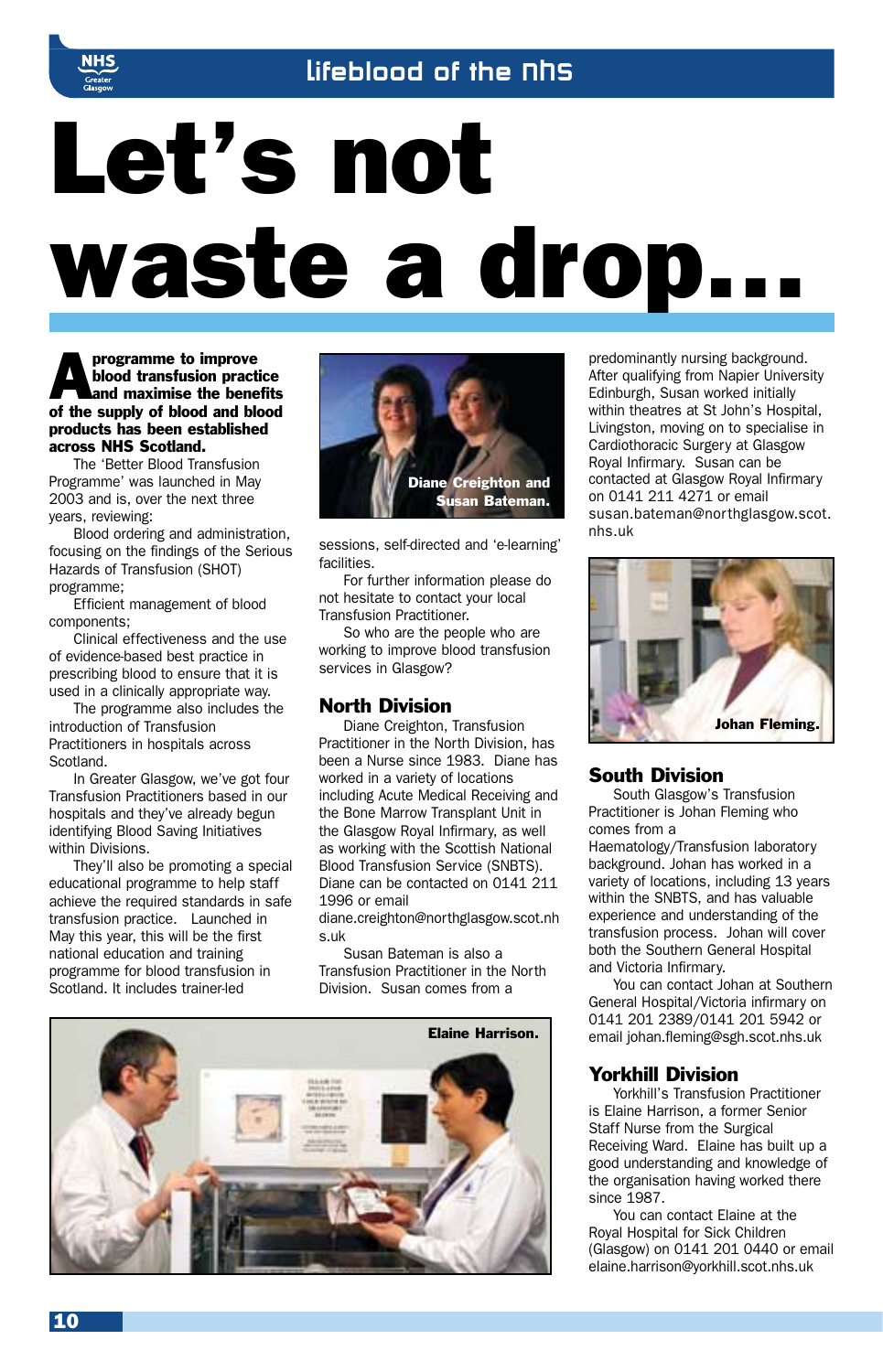

# Let's not waste a drop…

**Approgramme to improve<br>blood transfusion pract<br>and maximise the bene<br>of the supply of blood and blood** blood transfusion practice and maximise the benefits of the supply of blood and blood products has been established across NHS Scotland.

The 'Better Blood Transfusion Programme' was launched in May 2003 and is, over the next three years, reviewing:

Blood ordering and administration, focusing on the findings of the Serious Hazards of Transfusion (SHOT) programme;

Efficient management of blood components;

Clinical effectiveness and the use of evidence-based best practice in prescribing blood to ensure that it is used in a clinically appropriate way.

The programme also includes the introduction of Transfusion Practitioners in hospitals across Scotland.

In Greater Glasgow, we've got four Transfusion Practitioners based in our hospitals and they've already begun identifying Blood Saving Initiatives within Divisions.

They'll also be promoting a special educational programme to help staff achieve the required standards in safe transfusion practice. Launched in May this year, this will be the first national education and training programme for blood transfusion in Scotland. It includes trainer-led



sessions, self-directed and 'e-learning' facilities.

For further information please do not hesitate to contact your local Transfusion Practitioner.

So who are the people who are working to improve blood transfusion services in Glasgow?

#### North Division

Diane Creighton, Transfusion Practitioner in the North Division, has been a Nurse since 1983. Diane has worked in a variety of locations including Acute Medical Receiving and the Bone Marrow Transplant Unit in the Glasgow Royal Infirmary, as well as working with the Scottish National Blood Transfusion Service (SNBTS). Diane can be contacted on 0141 211 1996 or email

diane.creighton@northglasgow.scot.nh s.uk

Susan Bateman is also a Transfusion Practitioner in the North Division. Susan comes from a



predominantly nursing background. After qualifying from Napier University Edinburgh, Susan worked initially within theatres at St John's Hospital, Livingston, moving on to specialise in Cardiothoracic Surgery at Glasgow Royal Infirmary. Susan can be contacted at Glasgow Royal Infirmary on 0141 211 4271 or email susan.bateman@northglasgow.scot. nhs.uk



#### South Division

South Glasgow's Transfusion Practitioner is Johan Fleming who comes from a

Haematology/Transfusion laboratory background. Johan has worked in a variety of locations, including 13 years within the SNBTS, and has valuable experience and understanding of the transfusion process. Johan will cover both the Southern General Hospital and Victoria Infirmary.

You can contact Johan at Southern General Hospital/Victoria infirmary on 0141 201 2389/0141 201 5942 or email johan.fleming@sgh.scot.nhs.uk

#### Yorkhill Division

Yorkhill's Transfusion Practitioner is Elaine Harrison, a former Senior Staff Nurse from the Surgical Receiving Ward. Elaine has built up a good understanding and knowledge of the organisation having worked there since 1987.

You can contact Elaine at the Royal Hospital for Sick Children (Glasgow) on 0141 201 0440 or email elaine.harrison@yorkhill.scot.nhs.uk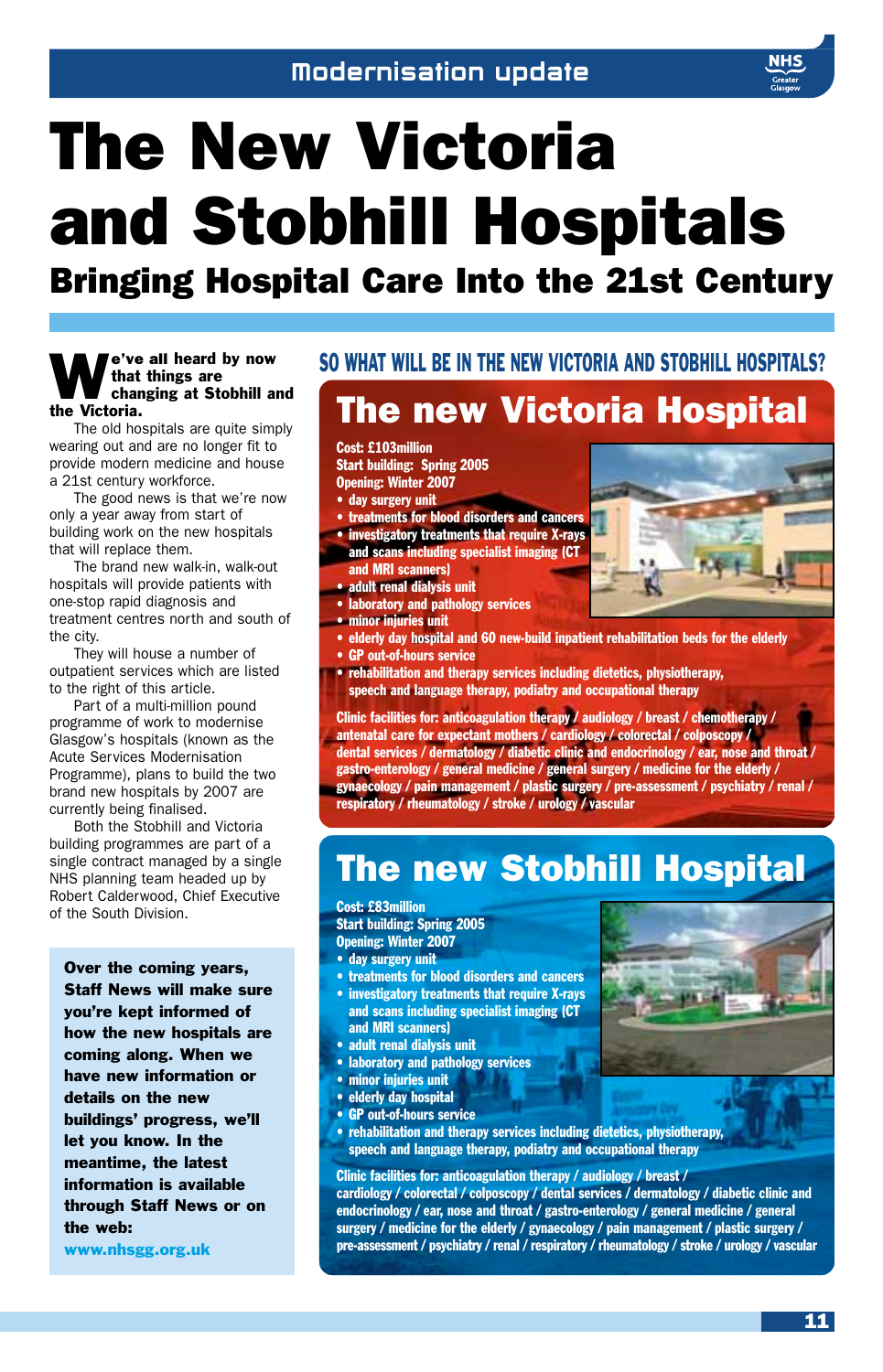# The New Victoria and Stobhill Hospitals

Bringing Hospital Care Into the 21st Century

#### e've all heard by now that things are changing at Stobhill and the Victoria.

The old hospitals are quite simply wearing out and are no longer fit to provide modern medicine and house a 21st century workforce.

The good news is that we're now only a year away from start of building work on the new hospitals that will replace them.

The brand new walk-in, walk-out hospitals will provide patients with one-stop rapid diagnosis and treatment centres north and south of the city.

They will house a number of outpatient services which are listed to the right of this article.

Part of a multi-million pound programme of work to modernise Glasgow's hospitals (known as the Acute Services Modernisation Programme), plans to build the two brand new hospitals by 2007 are currently being finalised.

Both the Stobhill and Victoria building programmes are part of a single contract managed by a single NHS planning team headed up by Robert Calderwood, Chief Executive of the South Division.

Over the coming years, Staff News will make sure you're kept informed of how the new hospitals are coming along. When we have new information or details on the new buildings' progress, we'll let you know. In the meantime, the latest information is available through Staff News or on the web:

www.nhsgg.org.uk

#### SO WHAT WILL BE IN THE NEW VICTORIA AND STORHILL HOSPITALS?

### The new Victoria Hospital

Cost: £103million Start building: Spring 2005 Opening: Winter 2007

- 
- day surgery unit
- treatments for blood disorders and cancers • investigatory treatments that require X-rays and scans including specialist imaging (CT
- and MRI scanners)
- adult renal dialysis unit
- laboratory and pathology services
- minor injuries unit
- elderly day hospital and 60 new-build inpatient rehabilitation beds for the elderly • GP out-of-hours service
- rehabilitation and therapy services including dietetics, physiotherapy, speech and language therapy, podiatry and occupational therapy

Clinic facilities for: anticoagulation therapy / audiology / breast / chemotherapy / antenatal care for expectant mothers / cardiology / colorectal / colposcopy / dental services / dermatology / diabetic clinic and endocrinology / ear, nose and throat / gastro-enterology / general medicine / general surgery / medicine for the elderly / gynaecology / pain management / plastic surgery / pre-assessment / psychiatry / renal / respiratory / rheumatology / stroke / urology / vascular

### The new Stobhill Hospital

Cost: £83million Start building: Spring 2005 Opening: Winter 2007

- day surgery unit
- treatments for blood disorders and cancers
- investigatory treatments that require X-rays and scans including specialist imaging (CT and MRI scanners)
- adult renal dialysis unit
- laboratory and pathology services
- minor injuries unit
- elderly day hospital
- GP out-of-hours service
- rehabilitation and therapy services including dietetics, physiotherapy, speech and language therapy, podiatry and occupational therapy

#### Clinic facilities for: anticoagulation therapy / audiology / breast /

cardiology / colorectal / colposcopy / dental services / dermatology / diabetic clinic and endocrinology / ear, nose and throat / gastro-enterology / general medicine / general surgery / medicine for the elderly / gynaecology / pain management / plastic surgery / pre-assessment / psychiatry / renal / respiratory / rheumatology / stroke / urology / vascular

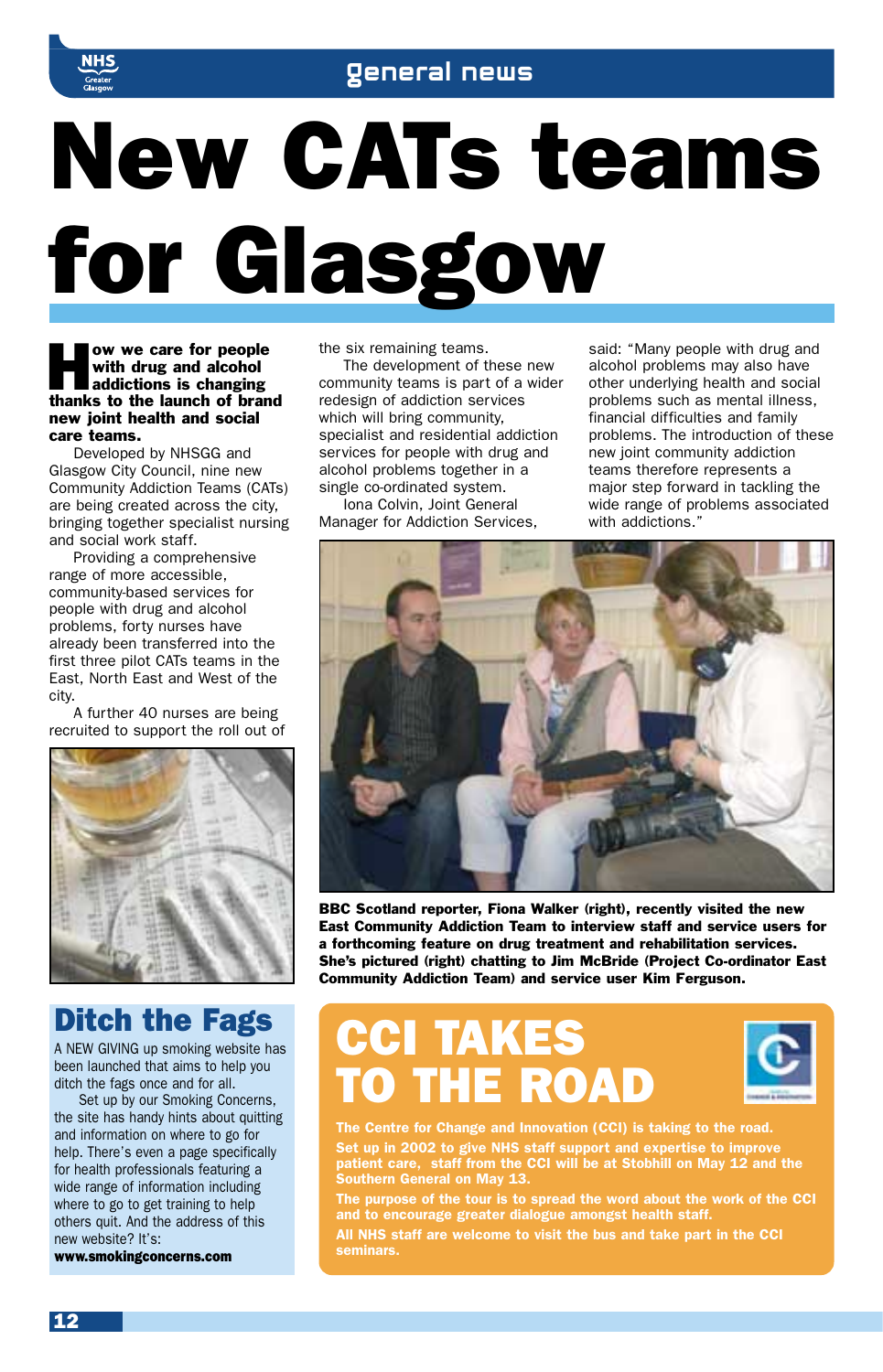

# New CATs teams for Glasgow

#### ow we care for people with drug and alcohol addictions is changing thanks to the launch of brand new joint health and social care teams.

Developed by NHSGG and Glasgow City Council, nine new Community Addiction Teams (CATs) are being created across the city, bringing together specialist nursing and social work staff.

Providing a comprehensive range of more accessible, community-based services for people with drug and alcohol problems, forty nurses have already been transferred into the first three pilot CATs teams in the East, North East and West of the city.

A further 40 nurses are being recruited to support the roll out of



#### Ditch the Fags

A NEW GIVING up smoking website has been launched that aims to help you ditch the fags once and for all.

Set up by our Smoking Concerns, the site has handy hints about quitting and information on where to go for help. There's even a page specifically for health professionals featuring a wide range of information including where to go to get training to help others quit. And the address of this new website? It's:

www.smokingconcerns.com

the six remaining teams.

The development of these new community teams is part of a wider redesign of addiction services which will bring community, specialist and residential addiction services for people with drug and alcohol problems together in a single co-ordinated system.

Iona Colvin, Joint General Manager for Addiction Services, said: "Many people with drug and alcohol problems may also have other underlying health and social problems such as mental illness, financial difficulties and family problems. The introduction of these new joint community addiction teams therefore represents a major step forward in tackling the wide range of problems associated with addictions."



BBC Scotland reporter, Fiona Walker (right), recently visited the new East Community Addiction Team to interview staff and service users for a forthcoming feature on drug treatment and rehabilitation services. She's pictured (right) chatting to Jim McBride (Project Co-ordinator East Community Addiction Team) and service user Kim Ferguson.

## CCI TAKES **D THE ROAD**



*The Centre for Change and Innovation (CCI) is taking to the road. Set up in 2002 to give NHS staff support and expertise to improve patient care, staff from the CCI will be at Stobhill on May 12 and the Southern General on May 13.*

*The purpose of the tour is to spread the word about the work of the CCI and to encourage greater dialogue amongst health staff.* 

*All NHS staff are welcome to visit the bus and take part in the CCI seminars.*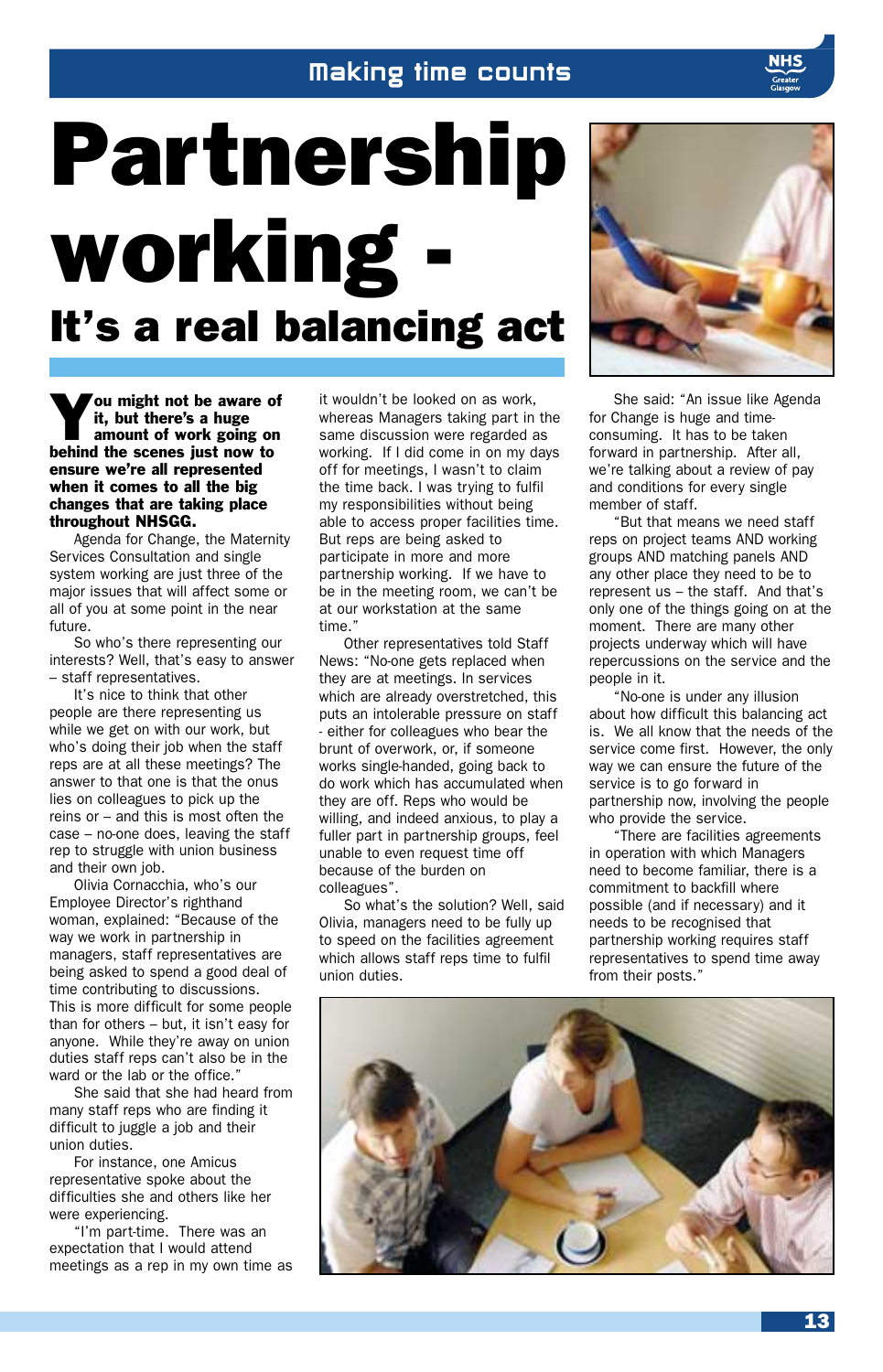#### Making time counts

# Partnership working - It's a real balancing act

You might not be aware of<br>it, but there's a huge<br>amount of work going on<br>behind the scenes just now to it, but there's a huge amount of work going on ensure we're all represented when it comes to all the big changes that are taking place throughout NHSGG.

Agenda for Change, the Maternity Services Consultation and single system working are just three of the major issues that will affect some or all of you at some point in the near future.

So who's there representing our interests? Well, that's easy to answer – staff representatives.

It's nice to think that other people are there representing us while we get on with our work, but who's doing their job when the staff reps are at all these meetings? The answer to that one is that the onus lies on colleagues to pick up the reins or – and this is most often the case – no-one does, leaving the staff rep to struggle with union business and their own job.

Olivia Cornacchia, who's our Employee Director's righthand woman, explained: "Because of the way we work in partnership in managers, staff representatives are being asked to spend a good deal of time contributing to discussions. This is more difficult for some people than for others – but, it isn't easy for anyone. While they're away on union duties staff reps can't also be in the ward or the lab or the office."

She said that she had heard from many staff reps who are finding it difficult to juggle a job and their union duties.

For instance, one Amicus representative spoke about the difficulties she and others like her were experiencing.

"I'm part-time. There was an expectation that I would attend meetings as a rep in my own time as it wouldn't be looked on as work, whereas Managers taking part in the same discussion were regarded as working. If I did come in on my days off for meetings, I wasn't to claim the time back. I was trying to fulfil my responsibilities without being able to access proper facilities time. But reps are being asked to participate in more and more partnership working. If we have to be in the meeting room, we can't be at our workstation at the same time'

Other representatives told Staff News: "No-one gets replaced when they are at meetings. In services which are already overstretched, this puts an intolerable pressure on staff - either for colleagues who bear the brunt of overwork, or, if someone works single-handed, going back to do work which has accumulated when they are off. Reps who would be willing, and indeed anxious, to play a fuller part in partnership groups, feel unable to even request time off because of the burden on colleagues".

So what's the solution? Well, said Olivia, managers need to be fully up to speed on the facilities agreement which allows staff reps time to fulfil union duties.



She said: "An issue like Agenda for Change is huge and timeconsuming. It has to be taken forward in partnership. After all, we're talking about a review of pay and conditions for every single member of staff.

"But that means we need staff reps on project teams AND working groups AND matching panels AND any other place they need to be to represent us – the staff. And that's only one of the things going on at the moment. There are many other projects underway which will have repercussions on the service and the people in it.

"No-one is under any illusion about how difficult this balancing act is. We all know that the needs of the service come first. However, the only way we can ensure the future of the service is to go forward in partnership now, involving the people who provide the service.

"There are facilities agreements in operation with which Managers need to become familiar, there is a commitment to backfill where possible (and if necessary) and it needs to be recognised that partnership working requires staff representatives to spend time away from their posts."

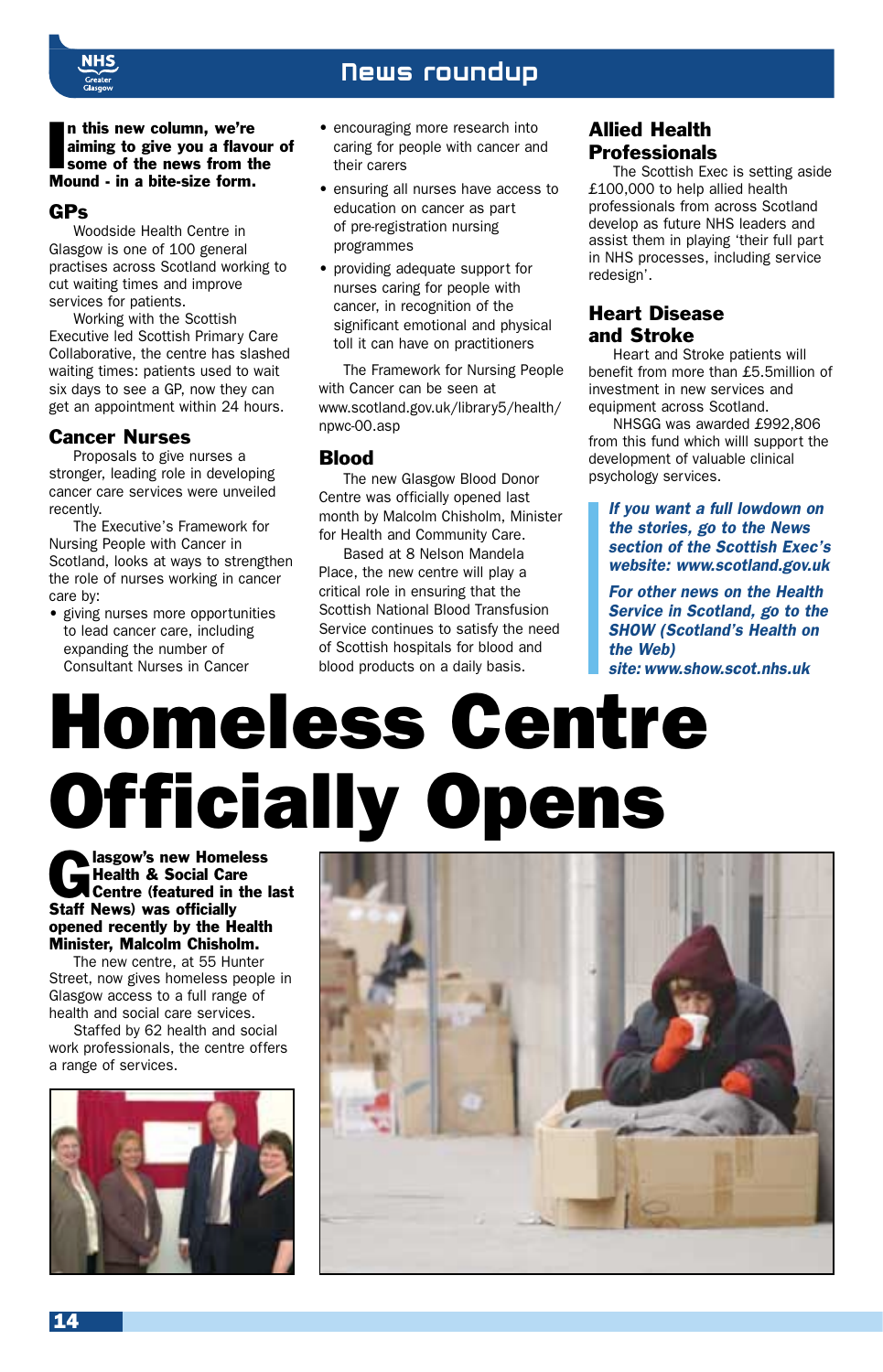

#### News roundup

In this new column, we're<br>aiming to give you a flave<br>some of the news from the<br>Mound - in a bite-size form. n this new column, we're aiming to give you a flavour of some of the news from the

#### GPs

Woodside Health Centre in Glasgow is one of 100 general practises across Scotland working to cut waiting times and improve services for patients.

Working with the Scottish Executive led Scottish Primary Care Collaborative, the centre has slashed waiting times: patients used to wait six days to see a GP, now they can get an appointment within 24 hours.

#### Cancer Nurses

Proposals to give nurses a stronger, leading role in developing cancer care services were unveiled recently.

The Executive's Framework for Nursing People with Cancer in Scotland, looks at ways to strengthen the role of nurses working in cancer care by:

• giving nurses more opportunities to lead cancer care, including expanding the number of Consultant Nurses in Cancer

- encouraging more research into caring for people with cancer and their carers
- ensuring all nurses have access to education on cancer as part of pre-registration nursing programmes
- providing adequate support for nurses caring for people with cancer, in recognition of the significant emotional and physical toll it can have on practitioners

The Framework for Nursing People with Cancer can be seen at www.scotland.gov.uk/library5/health/ npwc-00.asp

#### Blood

The new Glasgow Blood Donor Centre was officially opened last month by Malcolm Chisholm, Minister for Health and Community Care.

Based at 8 Nelson Mandela Place, the new centre will play a critical role in ensuring that the Scottish National Blood Transfusion Service continues to satisfy the need of Scottish hospitals for blood and blood products on a daily basis.

#### Allied Health **Professionals**

The Scottish Exec is setting aside £100,000 to help allied health professionals from across Scotland develop as future NHS leaders and assist them in playing 'their full part in NHS processes, including service redesign'.

#### Heart Disease and Stroke

Heart and Stroke patients will benefit from more than £5.5million of investment in new services and equipment across Scotland.

NHSGG was awarded £992,806 from this fund which willl support the development of valuable clinical psychology services.

#### *If you want a full lowdown on the stories, go to the News section of the Scottish Exec's website: www.scotland.gov.uk*

*For other news on the Health Service in Scotland, go to the SHOW (Scotland's Health on the Web)*

*site: www.show.scot.nhs.uk*

# Homeless Centre **Officially Opens**

lasgow's new Homeless<br>
Health & Social Care<br>
Centre (featured in the last<br>
Staff News) was officially Health & Social Care Staff News) was officially opened recently by the Health Minister, Malcolm Chisholm.

The new centre, at 55 Hunter Street, now gives homeless people in Glasgow access to a full range of health and social care services.

Staffed by 62 health and social work professionals, the centre offers a range of services.



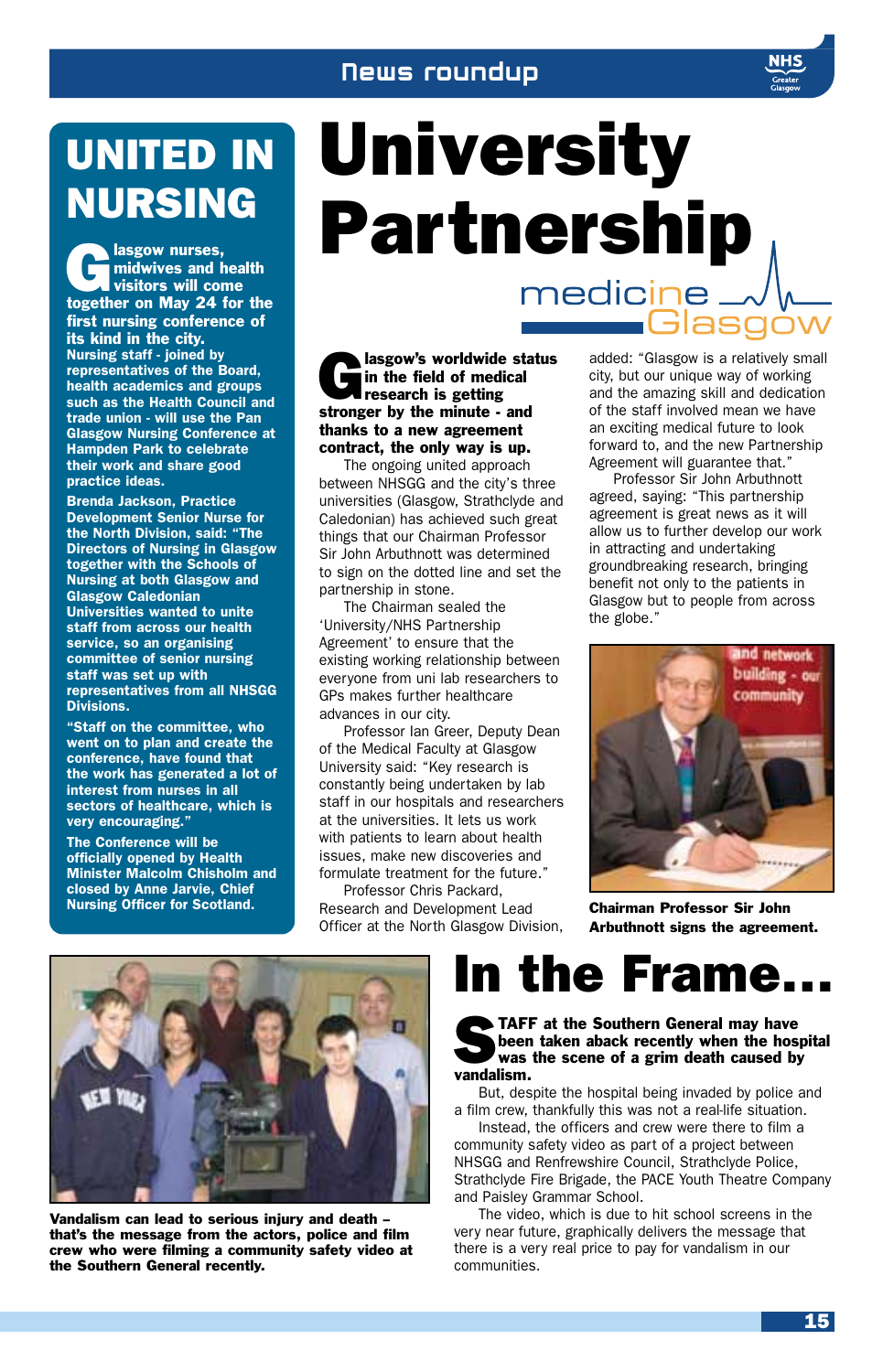#### News roundup

## UNITED IN NURSING

**Complexe** and health<br>
visitors will come<br>
together on May 24 for the midwives and health visitors will come first nursing conference of its kind in the city. *Nursing staff - joined by representatives of the Board, health academics and groups such as the Health Council and trade union - will use the Pan Glasgow Nursing Conference at Hampden Park to celebrate their work and share good practice ideas.*

*Brenda Jackson, Practice Development Senior Nurse for the North Division, said: "The Directors of Nursing in Glasgow together with the Schools of Nursing at both Glasgow and Glasgow Caledonian Universities wanted to unite staff from across our health service, so an organising committee of senior nursing staff was set up with representatives from all NHSGG Divisions.*

*"Staff on the committee, who went on to plan and create the conference, have found that the work has generated a lot of interest from nurses in all sectors of healthcare, which is very encouraging."*

*The Conference will be officially opened by Health Minister Malcolm Chisholm and closed by Anne Jarvie, Chief*

## University Partnership  $mediate -$

alasgow's worldwide status in the field of medical research is getting stronger by the minute - and thanks to a new agreement contract, the only way is up.

The ongoing united approach between NHSGG and the city's three universities (Glasgow, Strathclyde and Caledonian) has achieved such great things that our Chairman Professor Sir John Arbuthnott was determined to sign on the dotted line and set the partnership in stone.

The Chairman sealed the 'University/NHS Partnership Agreement' to ensure that the existing working relationship between everyone from uni lab researchers to GPs makes further healthcare advances in our city.

Professor Ian Greer, Deputy Dean of the Medical Faculty at Glasgow University said: "Key research is constantly being undertaken by lab staff in our hospitals and researchers at the universities. It lets us work with patients to learn about health issues, make new discoveries and formulate treatment for the future."

Professor Chris Packard, Nursing Officer for Scotland. **Chairman Professor Sir John** Research and Development Lead **Chairman Professor Sir John** Officer at the North Glasgow Division,

added: "Glasgow is a relatively small city, but our unique way of working and the amazing skill and dedication of the staff involved mean we have an exciting medical future to look forward to, and the new Partnership Agreement will guarantee that."

**G**lasgo

Professor Sir John Arbuthnott agreed, saying: "This partnership agreement is great news as it will allow us to further develop our work in attracting and undertaking groundbreaking research, bringing benefit not only to the patients in Glasgow but to people from across the globe."



Arbuthnott signs the agreement.



Vandalism can lead to serious injury and death – that's the message from the actors, police and film crew who were filming a community safety video at the Southern General recently.

### In the Frame…

#### TAFF at the Southern General may have been taken aback recently when the hospital was the scene of a grim death caused by vandalism.

But, despite the hospital being invaded by police and a film crew, thankfully this was not a real-life situation.

Instead, the officers and crew were there to film a community safety video as part of a project between NHSGG and Renfrewshire Council, Strathclyde Police, Strathclyde Fire Brigade, the PACE Youth Theatre Company and Paisley Grammar School.

The video, which is due to hit school screens in the very near future, graphically delivers the message that there is a very real price to pay for vandalism in our communities.